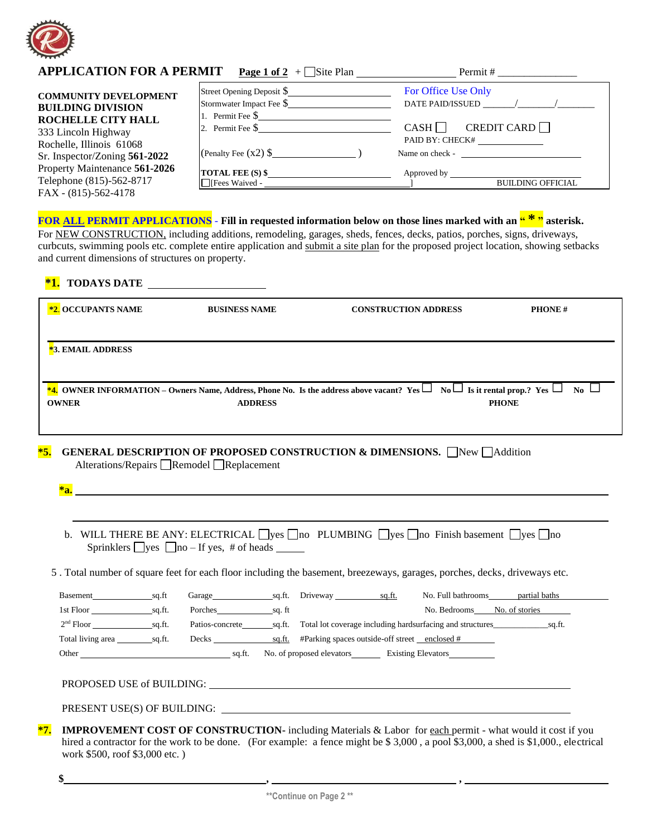

| <b>APPLICATION FOR A PERMIT</b>                                                         | <b>Page 1 of 2</b> + $\Box$ Site Plan                 | Permit #                                            |
|-----------------------------------------------------------------------------------------|-------------------------------------------------------|-----------------------------------------------------|
| <b>COMMUNITY DEVELOPMENT</b><br><b>BUILDING DIVISION</b>                                | Street Opening Deposit \$<br>Stormwater Impact Fee \$ | For Office Use Only<br>DATE PAID/ISSUED / /         |
| ROCHELLE CITY HALL<br>333 Lincoln Highway                                               | 1. Permit Fee $\$\$<br>2. Permit Fee $\$              | CREDIT CARD $\Box$<br>$CASH \Box$                   |
| Rochelle, Illinois 61068<br>Sr. Inspector/Zoning 561-2022                               | (Penalty Fee $(x2)$ \$                                | PAID BY: CHECK#<br>Name on check -                  |
| Property Maintenance 561-2026<br>Telephone (815)-562-8717<br>$FAX - (815) - 562 - 4178$ | <b>TOTAL FEE</b> $(S)$ \$                             | Approved by Approved by<br><b>BUILDING OFFICIAL</b> |

## **FOR ALL PERMIT APPLICATIONS** - **Fill in requested information below on those lines marked with an " \* " asterisk.**

For NEW CONSTRUCTION, including additions, remodeling, garages, sheds, fences, decks, patios, porches, signs, driveways, curbcuts, swimming pools etc. complete entire application and submit a site plan for the proposed project location, showing setbacks and current dimensions of structures on property.

| <b>TODAYS DATE</b><br>$^*1.$ |                                         |                                                                                                                                                 |                     |
|------------------------------|-----------------------------------------|-------------------------------------------------------------------------------------------------------------------------------------------------|---------------------|
| <b>*2. OCCUPANTS NAME</b>    | <b>BUSINESS NAME</b>                    | <b>CONSTRUCTION ADDRESS</b>                                                                                                                     | <b>PHONE#</b>       |
| <b>*3. EMAIL ADDRESS</b>     |                                         |                                                                                                                                                 |                     |
| <b>OWNER</b>                 | <b>ADDRESS</b>                          | <b>*4.</b> OWNER INFORMATION – Owners Name, Address, Phone No. Is the address above vacant? Yes $\Box$ No $\Box$ Is it rental prop.? Yes $\Box$ | No.<br><b>PHONE</b> |
| $*5.$                        | Alterations/Repairs Remodel Replacement | <b>GENERAL DESCRIPTION OF PROPOSED CONSTRUCTION &amp; DIMENSIONS.</b> New $\Box$ Addition                                                       |                     |
|                              |                                         |                                                                                                                                                 |                     |
|                              |                                         |                                                                                                                                                 |                     |

- b. WILL THERE BE ANY: ELECTRICAL  $\Box$ yes  $\Box$ no PLUMBING  $\Box$ yes  $\Box$ no Finish basement  $\Box$ yes  $\Box$ no Sprinklers  $\Box$ yes  $\Box$ no – If yes, # of heads  $\Box$
- 5 . Total number of square feet for each floor including the basement, breezeways, garages, porches, decks, driveways etc.

| <b>Basement</b>   | sa.ft  | Garage          | sq.ft. | Driveway                                      | sq.ft. | partial baths<br>No. Full bathrooms                                        |
|-------------------|--------|-----------------|--------|-----------------------------------------------|--------|----------------------------------------------------------------------------|
| 1st Floor         | sa.ft. | Porches         | sa. ft |                                               |        | No. Bedrooms<br>No. of stories                                             |
| $2nd$ Floor       | sa.ft. | Patios-concrete |        |                                               |        | sq.ft. Total lot coverage including hardsurfacing and structures<br>sq.ft. |
| Total living area | sa.ft. | Decks           | sq.ft. | #Parking spaces outside-off street enclosed # |        |                                                                            |
| Other             |        | sa.ft.          |        | No. of proposed elevators                     |        | <b>Existing Elevators</b>                                                  |
|                   |        |                 |        |                                               |        |                                                                            |

PRESENT USE(S) OF BUILDING:

**\*7. IMPROVEMENT COST OF CONSTRUCTION-** including Materials & Labor for each permit - what would it cost if you hired a contractor for the work to be done. (For example: a fence might be \$ 3,000, a pool \$3,000, a shed is \$1,000., electrical work \$500, roof \$3,000 etc. )

 **\$ , ,**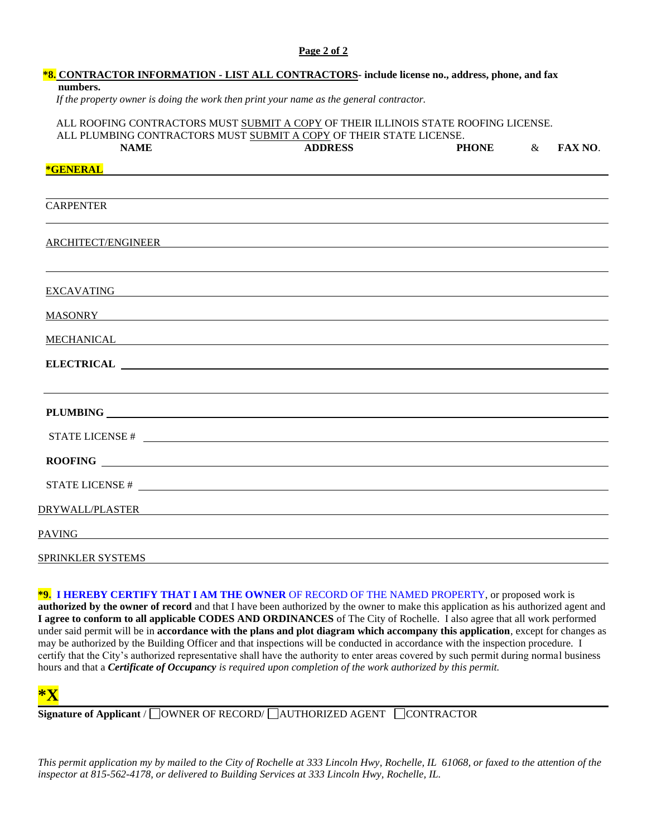## **Page 2 of 2**

| <b>*8. CONTRACTOR INFORMATION - LIST ALL CONTRACTORS-</b> include license no., address, phone, and fax<br>numbers.                                                                                                                   |                                                                                                                        |              |      |                |
|--------------------------------------------------------------------------------------------------------------------------------------------------------------------------------------------------------------------------------------|------------------------------------------------------------------------------------------------------------------------|--------------|------|----------------|
| If the property owner is doing the work then print your name as the general contractor.                                                                                                                                              |                                                                                                                        |              |      |                |
| ALL ROOFING CONTRACTORS MUST SUBMIT A COPY OF THEIR ILLINOIS STATE ROOFING LICENSE.<br>ALL PLUMBING CONTRACTORS MUST SUBMIT A COPY OF THEIR STATE LICENSE.                                                                           |                                                                                                                        |              |      |                |
| <b>NAME</b>                                                                                                                                                                                                                          | <b>ADDRESS</b>                                                                                                         | <b>PHONE</b> | $\&$ | <b>FAX NO.</b> |
| *GENERAL <b>FOR THE CONSTRUCT OF A SERVICE A</b>                                                                                                                                                                                     |                                                                                                                        |              |      |                |
|                                                                                                                                                                                                                                      |                                                                                                                        |              |      |                |
| <b>CARPENTER</b>                                                                                                                                                                                                                     |                                                                                                                        |              |      |                |
| ARCHITECT/ENGINEER                                                                                                                                                                                                                   |                                                                                                                        |              |      |                |
|                                                                                                                                                                                                                                      | <u> 1989 - Johann Stoff, deutscher Stoffen und der Stoffen und der Stoffen und der Stoffen und der Stoffen und der</u> |              |      |                |
|                                                                                                                                                                                                                                      |                                                                                                                        |              |      |                |
| EXCAVATING <b>EXCAVATING</b>                                                                                                                                                                                                         |                                                                                                                        |              |      |                |
| MASONRY CONSERVERS CONSERVERS ON A SERVICE SERVICE OF STRUCK SERVICE SERVICE SERVICE SERVICE SERVICE SERVICE S                                                                                                                       |                                                                                                                        |              |      |                |
| <u>MECHANICAL</u> <b>MECHANICAL</b>                                                                                                                                                                                                  |                                                                                                                        |              |      |                |
|                                                                                                                                                                                                                                      |                                                                                                                        |              |      |                |
|                                                                                                                                                                                                                                      |                                                                                                                        |              |      |                |
|                                                                                                                                                                                                                                      |                                                                                                                        |              |      |                |
| STATE LICENSE $#$                                                                                                                                                                                                                    |                                                                                                                        |              |      |                |
|                                                                                                                                                                                                                                      |                                                                                                                        |              |      |                |
| STATE LICENSE $\#$                                                                                                                                                                                                                   |                                                                                                                        |              |      |                |
| DRYWALL/PLASTER <b>Experimental Contract Contract Contract Contract Contract Contract Contract Contract Contract Contract Contract Contract Contract Contract Contract Contract Contract Contract Contract Contract Contract Con</b> |                                                                                                                        |              |      |                |
|                                                                                                                                                                                                                                      |                                                                                                                        |              |      |                |
| SPRINKLER SYSTEMS                                                                                                                                                                                                                    |                                                                                                                        |              |      |                |

**\*9. I HEREBY CERTIFY THAT I AM THE OWNER** OF RECORD OF THE NAMED PROPERTY, or proposed work is **authorized by the owner of record** and that I have been authorized by the owner to make this application as his authorized agent and **I agree to conform to all applicable CODES AND ORDINANCES** of The City of Rochelle. I also agree that all work performed under said permit will be in **accordance with the plans and plot diagram which accompany this application**, except for changes as may be authorized by the Building Officer and that inspections will be conducted in accordance with the inspection procedure. I certify that the City's authorized representative shall have the authority to enter areas covered by such permit during normal business hours and that a *Certificate of Occupancy is required upon completion of the work authorized by this permit.*



**Signature of Applicant** / COWNER OF RECORD/ CAUTHORIZED AGENT CONTRACTOR

*This permit application my by mailed to the City of Rochelle at 333 Lincoln Hwy, Rochelle, IL 61068, or faxed to the attention of the inspector at 815-562-4178, or delivered to Building Services at 333 Lincoln Hwy, Rochelle, IL.*